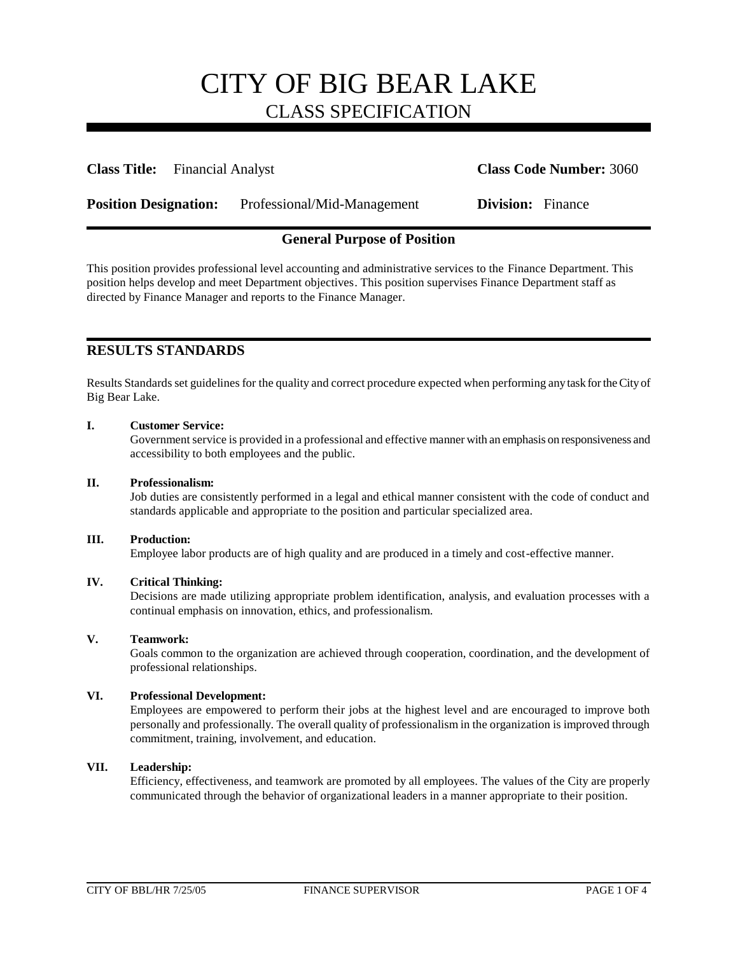**Class Title:** Financial Analyst **Class Code Number:** 3060

**Position Designation:** Professional/Mid-Management **Division:** Finance

## **General Purpose of Position**

This position provides professional level accounting and administrative services to the Finance Department. This position helps develop and meet Department objectives. This position supervises Finance Department staff as directed by Finance Manager and reports to the Finance Manager.

## **RESULTS STANDARDS**

Results Standards set guidelines for the quality and correct procedure expected when performing any task for the City of Big Bear Lake.

### **I. Customer Service:**

Government service is provided in a professional and effective manner with an emphasis on responsiveness and accessibility to both employees and the public.

### **II. Professionalism:**

Job duties are consistently performed in a legal and ethical manner consistent with the code of conduct and standards applicable and appropriate to the position and particular specialized area.

### **III. Production:**

Employee labor products are of high quality and are produced in a timely and cost-effective manner.

### **IV. Critical Thinking:**

Decisions are made utilizing appropriate problem identification, analysis, and evaluation processes with a continual emphasis on innovation, ethics, and professionalism.

### **V. Teamwork:**

Goals common to the organization are achieved through cooperation, coordination, and the development of professional relationships.

### **VI. Professional Development:**

Employees are empowered to perform their jobs at the highest level and are encouraged to improve both personally and professionally. The overall quality of professionalism in the organization is improved through commitment, training, involvement, and education.

### **VII. Leadership:**

Efficiency, effectiveness, and teamwork are promoted by all employees. The values of the City are properly communicated through the behavior of organizational leaders in a manner appropriate to their position.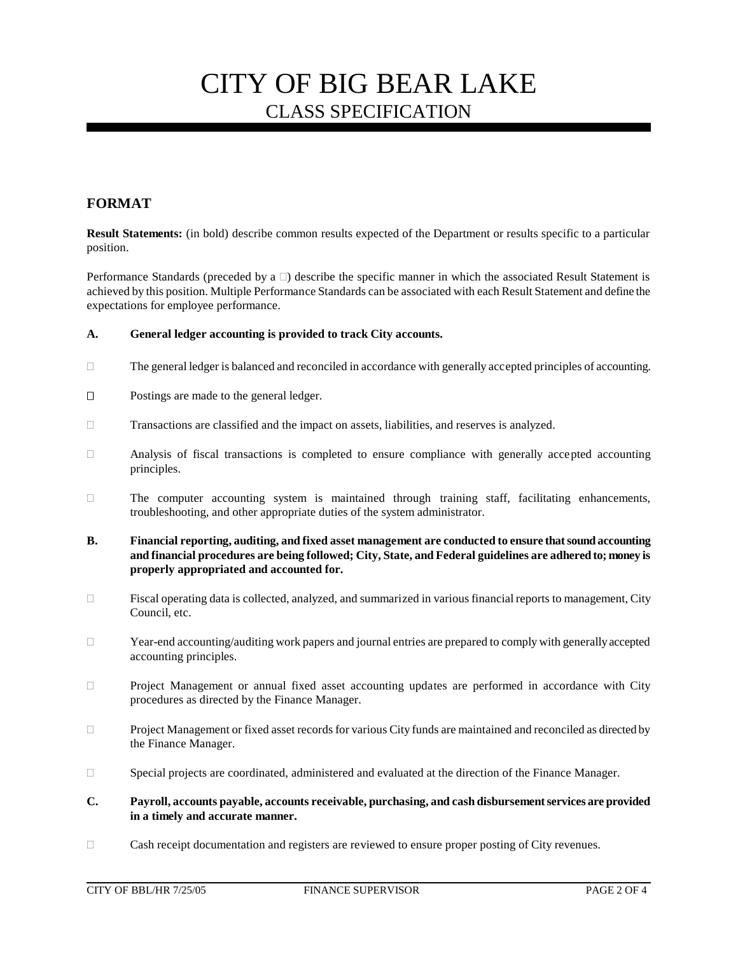## **FORMAT**

**Result Statements:** (in bold) describe common results expected of the Department or results specific to a particular position.

Performance Standards (preceded by a  $\Box$ ) describe the specific manner in which the associated Result Statement is achieved by this position. Multiple Performance Standards can be associated with each Result Statement and define the expectations for employee performance.

### **A. General ledger accounting is provided to track City accounts.**

- The general ledger is balanced and reconciled in accordance with generally accepted principles of accounting.
- □ Postings are made to the general ledger.
- Transactions are classified and the impact on assets, liabilities, and reserves is analyzed.
- $\Box$  Analysis of fiscal transactions is completed to ensure compliance with generally accepted accounting principles.
- $\Box$  The computer accounting system is maintained through training staff, facilitating enhancements, troubleshooting, and other appropriate duties of the system administrator.
- **B. Financial reporting, auditing, and fixed asset management are conducted to ensure that sound accounting and financial procedures are being followed; City, State, and Federal guidelines are adhered to; money is properly appropriated and accounted for.**
- $\Box$  Fiscal operating data is collected, analyzed, and summarized in various financial reports to management, City Council, etc.
- Year-end accounting/auditing work papers and journal entries are prepared to comply with generally accepted accounting principles.
- Project Management or annual fixed asset accounting updates are performed in accordance with City procedures as directed by the Finance Manager.
- Project Management or fixed asset records for various City funds are maintained and reconciled as directed by the Finance Manager.
- Special projects are coordinated, administered and evaluated at the direction of the Finance Manager.
- **C. Payroll, accounts payable, accounts receivable, purchasing, and cash disbursement services are provided in a timely and accurate manner.**
- Cash receipt documentation and registers are reviewed to ensure proper posting of City revenues.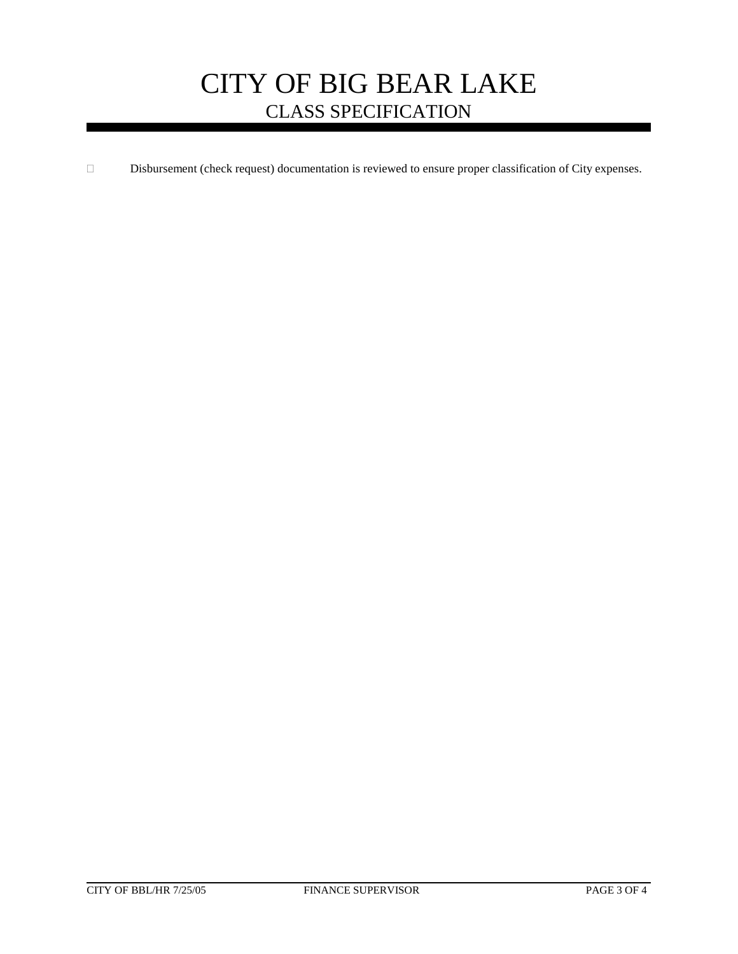Disbursement (check request) documentation is reviewed to ensure proper classification of City expenses.